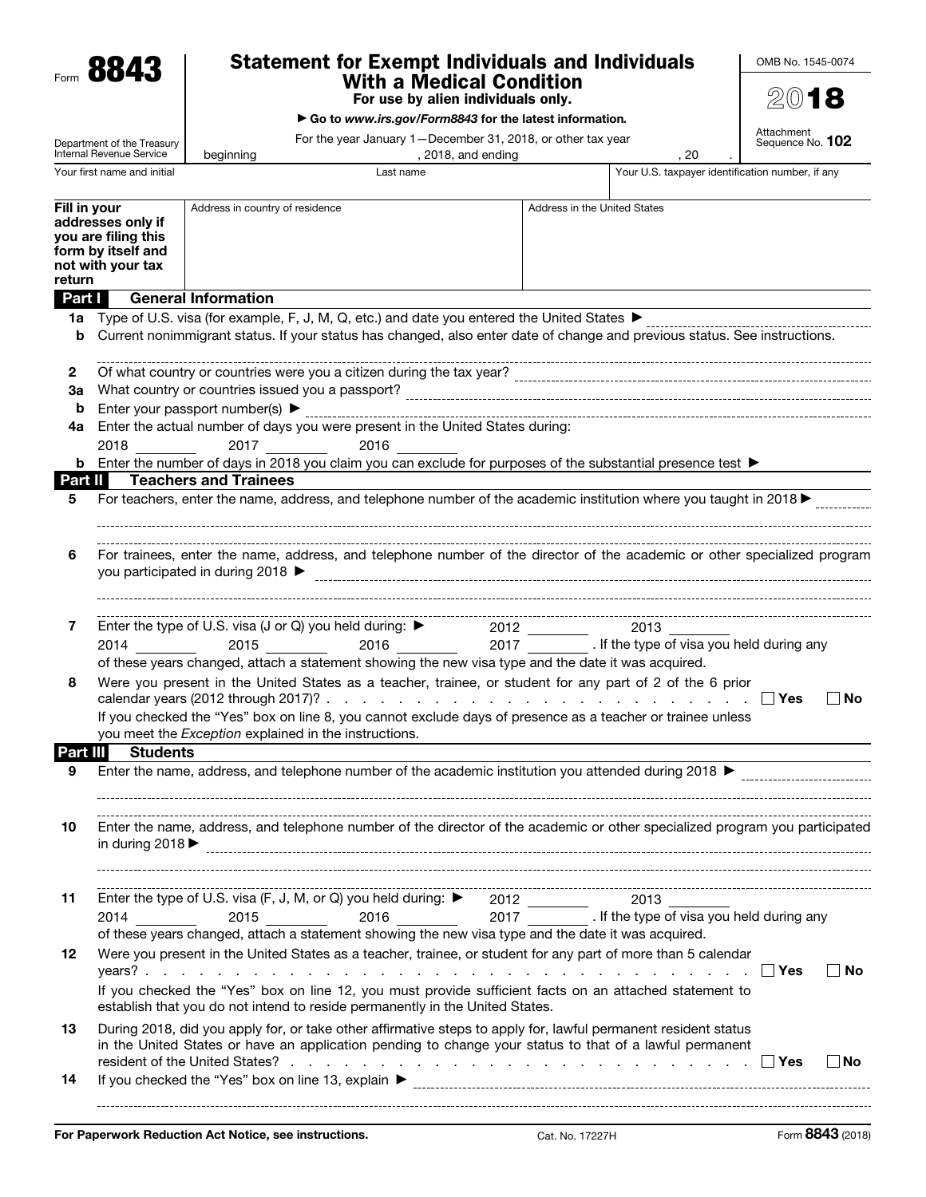Form 8843

# Statement for Exempt Individuals and Individuals With a Medical Condition

For use by alien individuals only.

▶ Go to *www.irs.gov/Form8843* for the latest information*.*

For the year January 1—December 31, 2018, or other tax year

Attachment<br>Sequence No. **102** 

2018

OMB No. 1545-0074

| Department of the Treasury<br>Internal Revenue Service                                                        |                                                                                                                                                                                                                                                                                                                                                                         | For the year January 1 – December 31, 2018, or other tax year<br>, 2018, and ending<br>beginning |                                                                                                                                                                                                                                                                                                                                                                                                              |  |                              | .20                                              | Sequence No. 102 |  |
|---------------------------------------------------------------------------------------------------------------|-------------------------------------------------------------------------------------------------------------------------------------------------------------------------------------------------------------------------------------------------------------------------------------------------------------------------------------------------------------------------|--------------------------------------------------------------------------------------------------|--------------------------------------------------------------------------------------------------------------------------------------------------------------------------------------------------------------------------------------------------------------------------------------------------------------------------------------------------------------------------------------------------------------|--|------------------------------|--------------------------------------------------|------------------|--|
|                                                                                                               | Your first name and initial                                                                                                                                                                                                                                                                                                                                             |                                                                                                  | Last name                                                                                                                                                                                                                                                                                                                                                                                                    |  |                              | Your U.S. taxpayer identification number, if any |                  |  |
| Fill in your<br>addresses only if<br>you are filing this<br>form by itself and<br>not with your tax<br>return |                                                                                                                                                                                                                                                                                                                                                                         | Address in country of residence                                                                  |                                                                                                                                                                                                                                                                                                                                                                                                              |  | Address in the United States |                                                  |                  |  |
| Part I                                                                                                        |                                                                                                                                                                                                                                                                                                                                                                         | <b>General Information</b>                                                                       |                                                                                                                                                                                                                                                                                                                                                                                                              |  |                              |                                                  |                  |  |
| 1a                                                                                                            |                                                                                                                                                                                                                                                                                                                                                                         |                                                                                                  |                                                                                                                                                                                                                                                                                                                                                                                                              |  |                              |                                                  |                  |  |
| b                                                                                                             |                                                                                                                                                                                                                                                                                                                                                                         |                                                                                                  | Current nonimmigrant status. If your status has changed, also enter date of change and previous status. See instructions.                                                                                                                                                                                                                                                                                    |  |                              |                                                  |                  |  |
| $\mathbf{2}$                                                                                                  | of what country or countries were you a citizen during the tax year?<br>Of what country or countries were you a citizen during the tax year?<br>                                                                                                                                                                                                                        |                                                                                                  |                                                                                                                                                                                                                                                                                                                                                                                                              |  |                              |                                                  |                  |  |
| За                                                                                                            |                                                                                                                                                                                                                                                                                                                                                                         |                                                                                                  |                                                                                                                                                                                                                                                                                                                                                                                                              |  |                              |                                                  |                  |  |
| b                                                                                                             |                                                                                                                                                                                                                                                                                                                                                                         | Enter your passport number(s) $\blacktriangleright$                                              |                                                                                                                                                                                                                                                                                                                                                                                                              |  |                              |                                                  |                  |  |
| 4a                                                                                                            |                                                                                                                                                                                                                                                                                                                                                                         |                                                                                                  | Enter the actual number of days you were present in the United States during:                                                                                                                                                                                                                                                                                                                                |  |                              |                                                  |                  |  |
|                                                                                                               | 2018 — 2018                                                                                                                                                                                                                                                                                                                                                             | 2017                                                                                             | 2016<br><u>and the state</u>                                                                                                                                                                                                                                                                                                                                                                                 |  |                              |                                                  |                  |  |
| Part II                                                                                                       |                                                                                                                                                                                                                                                                                                                                                                         |                                                                                                  | <b>b</b> Enter the number of days in 2018 you claim you can exclude for purposes of the substantial presence test $\blacktriangleright$                                                                                                                                                                                                                                                                      |  |                              |                                                  |                  |  |
| 5                                                                                                             |                                                                                                                                                                                                                                                                                                                                                                         | <b>Teachers and Trainees</b>                                                                     | For teachers, enter the name, address, and telephone number of the academic institution where you taught in 2018                                                                                                                                                                                                                                                                                             |  |                              |                                                  |                  |  |
| 6                                                                                                             | For trainees, enter the name, address, and telephone number of the director of the academic or other specialized program<br>you participated in during 2018 ▶                                                                                                                                                                                                           |                                                                                                  |                                                                                                                                                                                                                                                                                                                                                                                                              |  |                              |                                                  |                  |  |
| 7                                                                                                             |                                                                                                                                                                                                                                                                                                                                                                         |                                                                                                  | Enter the type of U.S. visa (J or Q) you held during: ▶ 2012 2013 2013<br>2014 2015 2015 2016 2016 2017 2017 Filthe type of visa you held during any                                                                                                                                                                                                                                                         |  |                              |                                                  |                  |  |
| 8                                                                                                             | of these years changed, attach a statement showing the new visa type and the date it was acquired.<br>Were you present in the United States as a teacher, trainee, or student for any part of 2 of the 6 prior<br>∣ ∣No<br>If you checked the "Yes" box on line 8, you cannot exclude days of presence as a teacher or trainee unless                                   |                                                                                                  |                                                                                                                                                                                                                                                                                                                                                                                                              |  |                              |                                                  |                  |  |
| Part III                                                                                                      | <b>Students</b>                                                                                                                                                                                                                                                                                                                                                         |                                                                                                  | you meet the Exception explained in the instructions.                                                                                                                                                                                                                                                                                                                                                        |  |                              |                                                  |                  |  |
| 9                                                                                                             |                                                                                                                                                                                                                                                                                                                                                                         |                                                                                                  | Enter the name, address, and telephone number of the academic institution you attended during 2018 >                                                                                                                                                                                                                                                                                                         |  |                              |                                                  |                  |  |
| 10                                                                                                            | Enter the name, address, and telephone number of the director of the academic or other specialized program you participated<br>in during 2018 $\triangleright$ [100] contract the contract of the contract of the contract of the contract of the contract of the contract of the contract of the contract of the contract of the contract of the contract of the contr |                                                                                                  |                                                                                                                                                                                                                                                                                                                                                                                                              |  |                              |                                                  |                  |  |
| 11                                                                                                            |                                                                                                                                                                                                                                                                                                                                                                         |                                                                                                  | Enter the type of U.S. visa (F, J, M, or Q) you held during: ▶ 2012 2012<br>2013 2014 2014 2015 2016 2017 2017 11.5 2014                                                                                                                                                                                                                                                                                     |  |                              |                                                  |                  |  |
| 12                                                                                                            |                                                                                                                                                                                                                                                                                                                                                                         |                                                                                                  | of these years changed, attach a statement showing the new visa type and the date it was acquired.<br>Were you present in the United States as a teacher, trainee, or student for any part of more than 5 calendar<br>If you checked the "Yes" box on line 12, you must provide sufficient facts on an attached statement to<br>establish that you do not intend to reside permanently in the United States. |  |                              |                                                  | ∣ ∣No            |  |
| 13                                                                                                            | During 2018, did you apply for, or take other affirmative steps to apply for, lawful permanent resident status<br>in the United States or have an application pending to change your status to that of a lawful permanent<br>resident of the United States? $\ldots$ $\ldots$ $\ldots$ $\ldots$ $\ldots$ $\ldots$ $\ldots$ $\ldots$ $\ldots$ $\ldots$ $\ldots$<br>∣ No  |                                                                                                  |                                                                                                                                                                                                                                                                                                                                                                                                              |  |                              |                                                  |                  |  |
| 14                                                                                                            |                                                                                                                                                                                                                                                                                                                                                                         |                                                                                                  |                                                                                                                                                                                                                                                                                                                                                                                                              |  |                              |                                                  |                  |  |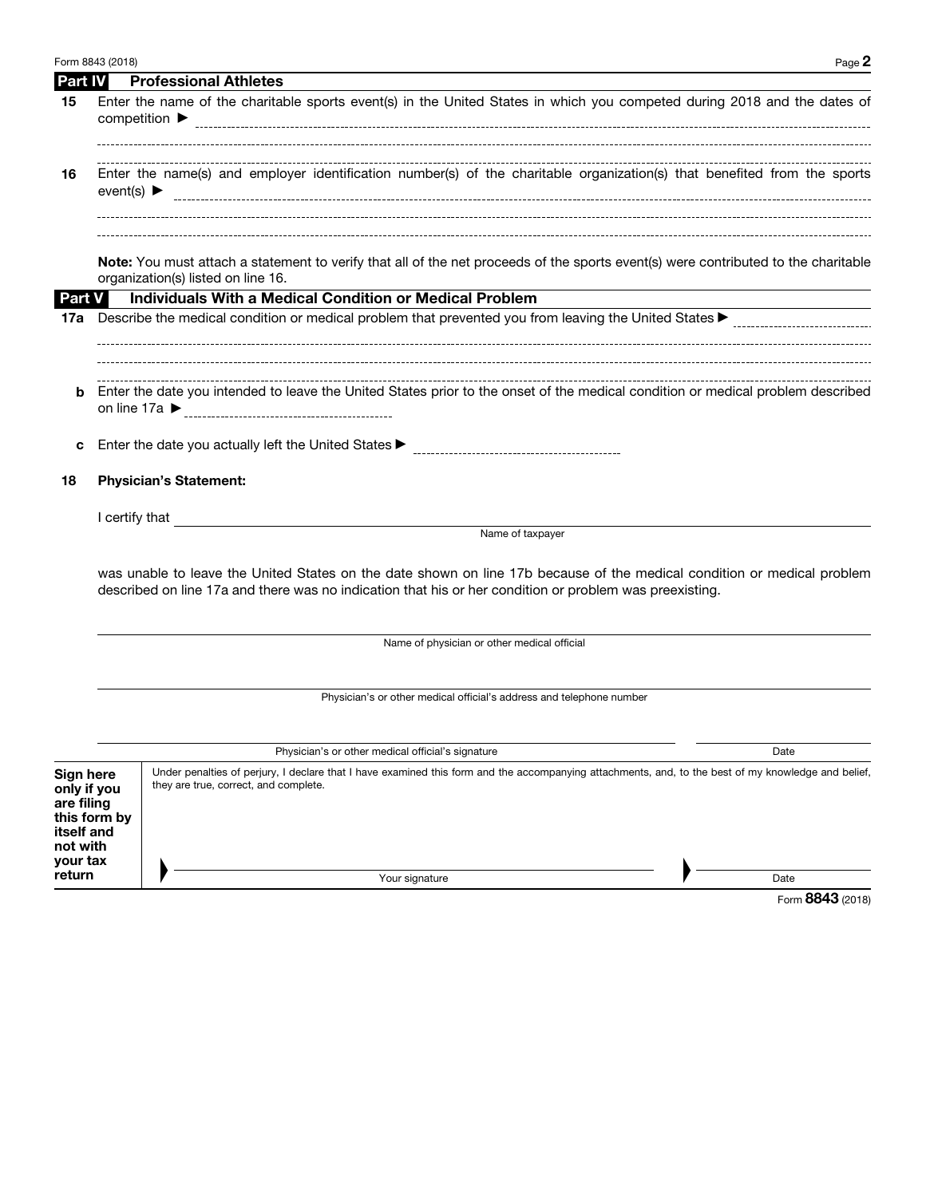|                                                                              | Form 8843 (2018)                                                     | Page 2                                                                                                                                                                                                                                     |  |  |  |  |  |  |
|------------------------------------------------------------------------------|----------------------------------------------------------------------|--------------------------------------------------------------------------------------------------------------------------------------------------------------------------------------------------------------------------------------------|--|--|--|--|--|--|
| <b>Part IV</b>                                                               |                                                                      | <b>Professional Athletes</b>                                                                                                                                                                                                               |  |  |  |  |  |  |
| 15                                                                           |                                                                      | Enter the name of the charitable sports event(s) in the United States in which you competed during 2018 and the dates of                                                                                                                   |  |  |  |  |  |  |
| 16                                                                           | event(s) $\blacktriangleright$                                       | Enter the name(s) and employer identification number(s) of the charitable organization(s) that benefited from the sports                                                                                                                   |  |  |  |  |  |  |
| <b>Part V</b>                                                                |                                                                      | Note: You must attach a statement to verify that all of the net proceeds of the sports event(s) were contributed to the charitable<br>organization(s) listed on line 16.<br><b>Individuals With a Medical Condition or Medical Problem</b> |  |  |  |  |  |  |
| 17a                                                                          |                                                                      |                                                                                                                                                                                                                                            |  |  |  |  |  |  |
|                                                                              |                                                                      |                                                                                                                                                                                                                                            |  |  |  |  |  |  |
| b                                                                            |                                                                      | Enter the date you intended to leave the United States prior to the onset of the medical condition or medical problem described                                                                                                            |  |  |  |  |  |  |
| с                                                                            |                                                                      |                                                                                                                                                                                                                                            |  |  |  |  |  |  |
| 18                                                                           | <b>Physician's Statement:</b>                                        |                                                                                                                                                                                                                                            |  |  |  |  |  |  |
|                                                                              |                                                                      | I certify that                                                                                                                                                                                                                             |  |  |  |  |  |  |
|                                                                              |                                                                      | Name of taxpayer                                                                                                                                                                                                                           |  |  |  |  |  |  |
|                                                                              |                                                                      | was unable to leave the United States on the date shown on line 17b because of the medical condition or medical problem<br>described on line 17a and there was no indication that his or her condition or problem was preexisting.         |  |  |  |  |  |  |
|                                                                              | Name of physician or other medical official                          |                                                                                                                                                                                                                                            |  |  |  |  |  |  |
|                                                                              | Physician's or other medical official's address and telephone number |                                                                                                                                                                                                                                            |  |  |  |  |  |  |
|                                                                              |                                                                      | Physician's or other medical official's signature<br>Date                                                                                                                                                                                  |  |  |  |  |  |  |
| Sign here<br>only if you<br>are filing<br>itself and<br>not with<br>your tax | this form by                                                         | Under penalties of perjury, I declare that I have examined this form and the accompanying attachments, and, to the best of my knowledge and belief,<br>they are true, correct, and complete.                                               |  |  |  |  |  |  |
| return                                                                       |                                                                      | Your signature<br>Date                                                                                                                                                                                                                     |  |  |  |  |  |  |

Your signature

Date

Form 8843 (2018)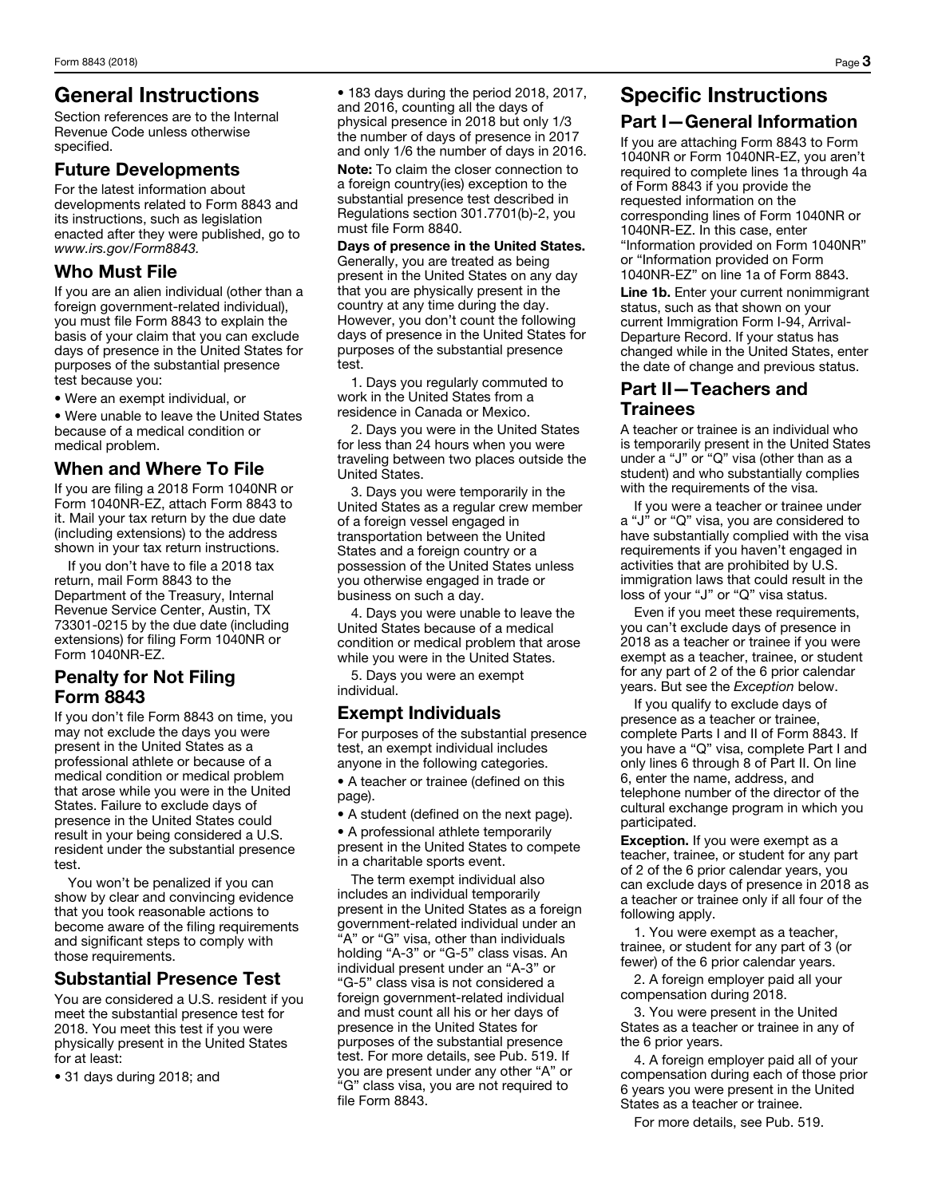### General Instructions

Section references are to the Internal Revenue Code unless otherwise specified.

#### Future Developments

For the latest information about developments related to Form 8843 and its instructions, such as legislation enacted after they were published, go to *www.irs.gov/Form8843.*

#### Who Must File

If you are an alien individual (other than a foreign government-related individual), you must file Form 8843 to explain the basis of your claim that you can exclude days of presence in the United States for purposes of the substantial presence test because you:

• Were an exempt individual, or

• Were unable to leave the United States because of a medical condition or medical problem.

#### When and Where To File

If you are filing a 2018 Form 1040NR or Form 1040NR-EZ, attach Form 8843 to it. Mail your tax return by the due date (including extensions) to the address shown in your tax return instructions.

If you don't have to file a 2018 tax return, mail Form 8843 to the Department of the Treasury, Internal Revenue Service Center, Austin, TX 73301-0215 by the due date (including extensions) for filing Form 1040NR or Form 1040NR-EZ.

### Penalty for Not Filing Form 8843

If you don't file Form 8843 on time, you may not exclude the days you were present in the United States as a professional athlete or because of a medical condition or medical problem that arose while you were in the United States. Failure to exclude days of presence in the United States could result in your being considered a U.S. resident under the substantial presence test.

You won't be penalized if you can show by clear and convincing evidence that you took reasonable actions to become aware of the filing requirements and significant steps to comply with those requirements.

### Substantial Presence Test

You are considered a U.S. resident if you meet the substantial presence test for 2018. You meet this test if you were physically present in the United States for at least:

• 31 days during 2018; and

• 183 days during the period 2018, 2017, and 2016, counting all the days of physical presence in 2018 but only 1/3 the number of days of presence in 2017 and only 1/6 the number of days in 2016.

Note: To claim the closer connection to a foreign country(ies) exception to the substantial presence test described in Regulations section 301.7701(b)-2, you must file Form 8840.

Days of presence in the United States. Generally, you are treated as being present in the United States on any day that you are physically present in the country at any time during the day. However, you don't count the following days of presence in the United States for purposes of the substantial presence test.

1. Days you regularly commuted to work in the United States from a residence in Canada or Mexico.

2. Days you were in the United States for less than 24 hours when you were traveling between two places outside the United States.

3. Days you were temporarily in the United States as a regular crew member of a foreign vessel engaged in transportation between the United States and a foreign country or a possession of the United States unless you otherwise engaged in trade or business on such a day.

4. Days you were unable to leave the United States because of a medical condition or medical problem that arose while you were in the United States.

5. Days you were an exempt individual.

### Exempt Individuals

For purposes of the substantial presence test, an exempt individual includes anyone in the following categories.

• A teacher or trainee (defined on this page).

• A student (defined on the next page).

• A professional athlete temporarily present in the United States to compete in a charitable sports event.

The term exempt individual also includes an individual temporarily present in the United States as a foreign government-related individual under an "A" or "G" visa, other than individuals holding "A-3" or "G-5" class visas. An individual present under an "A-3" or "G-5" class visa is not considered a foreign government-related individual and must count all his or her days of presence in the United States for purposes of the substantial presence test. For more details, see Pub. 519. If you are present under any other "A" or "G" class visa, you are not required to file Form 8843.

## Specific Instructions Part I—General Information

If you are attaching Form 8843 to Form 1040NR or Form 1040NR-EZ, you aren't required to complete lines 1a through 4a of Form 8843 if you provide the requested information on the corresponding lines of Form 1040NR or 1040NR-EZ. In this case, enter "Information provided on Form 1040NR" or "Information provided on Form 1040NR-EZ" on line 1a of Form 8843.

Line 1b. Enter your current nonimmigrant status, such as that shown on your current Immigration Form I-94, Arrival-Departure Record. If your status has changed while in the United States, enter the date of change and previous status.

### Part II—Teachers and Trainees

A teacher or trainee is an individual who is temporarily present in the United States under a "J" or "Q" visa (other than as a student) and who substantially complies with the requirements of the visa.

If you were a teacher or trainee under a "J" or "Q" visa, you are considered to have substantially complied with the visa requirements if you haven't engaged in activities that are prohibited by U.S. immigration laws that could result in the loss of your "J" or "Q" visa status.

Even if you meet these requirements, you can't exclude days of presence in 2018 as a teacher or trainee if you were exempt as a teacher, trainee, or student for any part of 2 of the 6 prior calendar years. But see the *Exception* below.

If you qualify to exclude days of presence as a teacher or trainee, complete Parts I and II of Form 8843. If you have a "Q" visa, complete Part I and only lines 6 through 8 of Part II. On line 6, enter the name, address, and telephone number of the director of the cultural exchange program in which you participated.

**Exception.** If you were exempt as a teacher, trainee, or student for any part of 2 of the 6 prior calendar years, you can exclude days of presence in 2018 as a teacher or trainee only if all four of the following apply.

1. You were exempt as a teacher, trainee, or student for any part of 3 (or fewer) of the 6 prior calendar years.

2. A foreign employer paid all your compensation during 2018.

3. You were present in the United States as a teacher or trainee in any of the 6 prior years.

4. A foreign employer paid all of your compensation during each of those prior 6 years you were present in the United States as a teacher or trainee.

For more details, see Pub. 519.